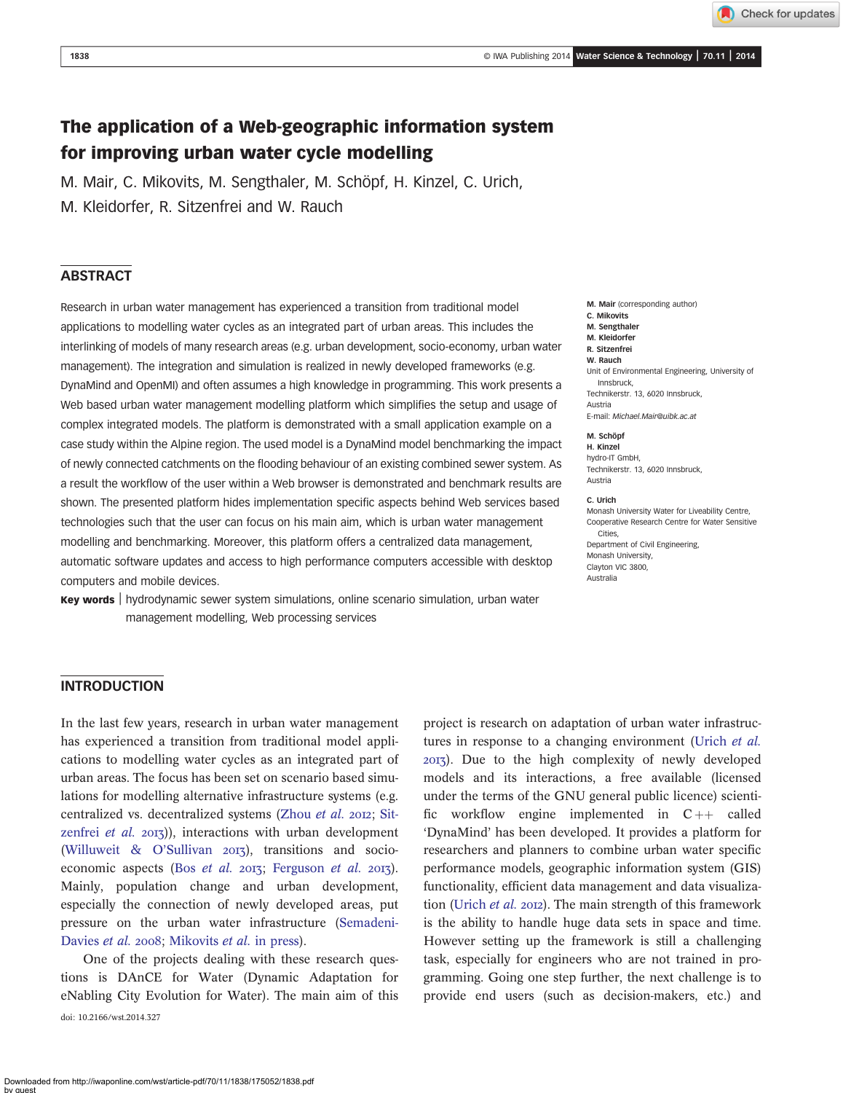Check for updates

# The application of a Web-geographic information system for improving urban water cycle modelling

M. Mair, C. Mikovits, M. Sengthaler, M. Schöpf, H. Kinzel, C. Urich,

M. Kleidorfer, R. Sitzenfrei and W. Rauch

#### ABSTRACT

Research in urban water management has experienced a transition from traditional model applications to modelling water cycles as an integrated part of urban areas. This includes the interlinking of models of many research areas (e.g. urban development, socio-economy, urban water management). The integration and simulation is realized in newly developed frameworks (e.g. DynaMind and OpenMI) and often assumes a high knowledge in programming. This work presents a Web based urban water management modelling platform which simplifies the setup and usage of complex integrated models. The platform is demonstrated with a small application example on a case study within the Alpine region. The used model is a DynaMind model benchmarking the impact of newly connected catchments on the flooding behaviour of an existing combined sewer system. As a result the workflow of the user within a Web browser is demonstrated and benchmark results are shown. The presented platform hides implementation specific aspects behind Web services based technologies such that the user can focus on his main aim, which is urban water management modelling and benchmarking. Moreover, this platform offers a centralized data management, automatic software updates and access to high performance computers accessible with desktop computers and mobile devices.

Key words | hydrodynamic sewer system simulations, online scenario simulation, urban water management modelling, Web processing services

M. Mair (corresponding author) C. Mikovits M. Sengthaler M. Kleidorfer R. Sitzenfrei W. Rauch Unit of Environmental Engineering, University of Innsbruck, Technikerstr. 13, 6020 Innsbruck, Austria E-mail: [Michael.Mair@uibk.ac.at](mailto:Michael.Mair@uibk.ac.at) M. Schöpf H. Kinzel

hydro-IT GmbH, Technikerstr. 13, 6020 Innsbruck, Austria

#### C. Urich

Monash University Water for Liveability Centre, Cooperative Research Centre for Water Sensitive Cities, Department of Civil Engineering, Monash University, Clayton VIC 3800, Australia

### INTRODUCTION

In the last few years, research in urban water management has experienced a transition from traditional model applications to modelling water cycles as an integrated part of urban areas. The focus has been set on scenario based simulations for modelling alternative infrastructure systems (e.g. centralized vs. decentralized systems ([Zhou](#page-8-0) et al. 2012; [Sit](#page-7-0)[zenfrei](#page-7-0) et al.  $20I_3$ )), interactions with urban development ([Willuweit & O](#page-8-0)'Sullivan  $2013$ ), transitions and socioeconomic aspects (Bos [et al.](#page-7-0) 2013; [Ferguson](#page-7-0) et al. 2013). Mainly, population change and urban development, especially the connection of newly developed areas, put pressure on the urban water infrastructure [\(Semadeni-](#page-7-0)[Davies](#page-7-0) et al. 2008; [Mikovits](#page-7-0) et al. in press).

One of the projects dealing with these research questions is DAnCE for Water (Dynamic Adaptation for eNabling City Evolution for Water). The main aim of this doi: 10.2166/wst.2014.327

project is research on adaptation of urban water infrastruc-tures in response to a changing environment ([Urich](#page-7-0) et al. ). Due to the high complexity of newly developed models and its interactions, a free available (licensed under the terms of the GNU general public licence) scientific workflow engine implemented in  $C_{++}$  called 'DynaMind' has been developed. It provides a platform for researchers and planners to combine urban water specific performance models, geographic information system (GIS) functionality, efficient data management and data visualiza-tion [\(Urich](#page-7-0) et al. 2012). The main strength of this framework is the ability to handle huge data sets in space and time. However setting up the framework is still a challenging task, especially for engineers who are not trained in programming. Going one step further, the next challenge is to provide end users (such as decision-makers, etc.) and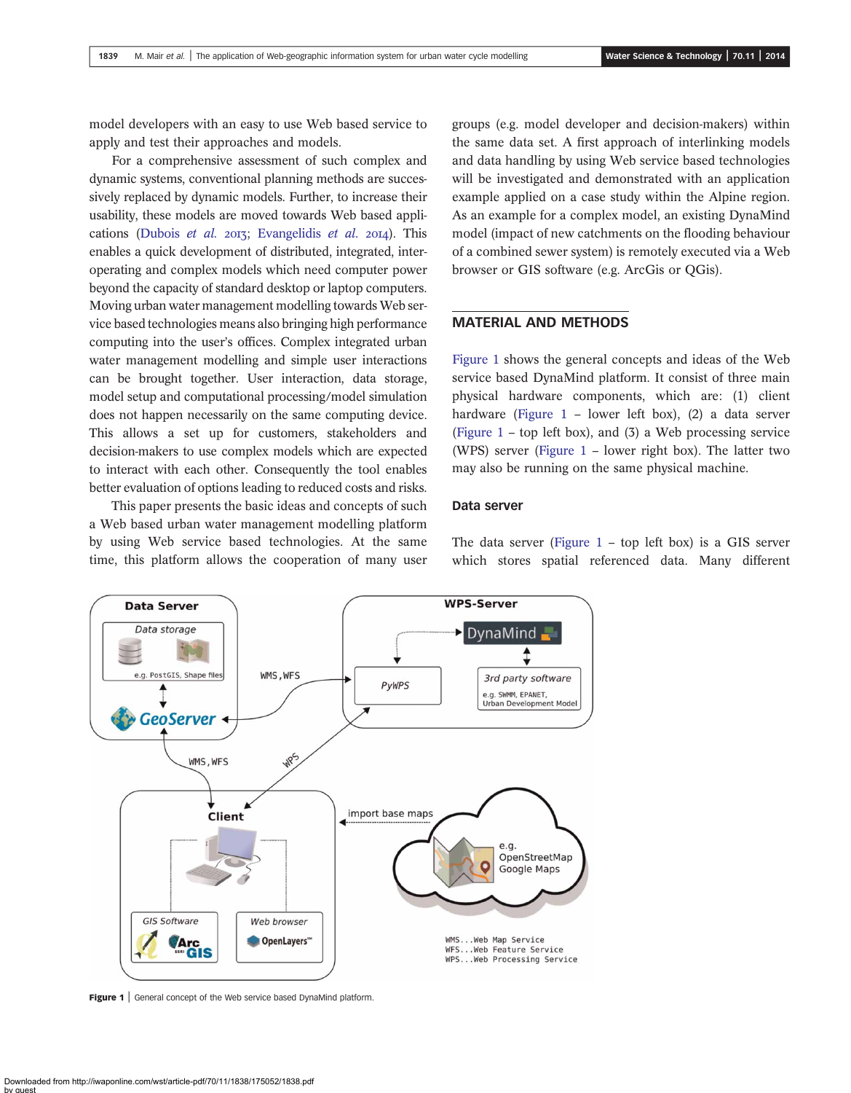<span id="page-1-0"></span>model developers with an easy to use Web based service to apply and test their approaches and models.

For a comprehensive assessment of such complex and dynamic systems, conventional planning methods are successively replaced by dynamic models. Further, to increase their usability, these models are moved towards Web based appli-cations [\(Dubois](#page-7-0) et al.  $20I$ ; [Evangelidis](#page-7-0) et al.  $20I$ <sub>4</sub>). This enables a quick development of distributed, integrated, interoperating and complex models which need computer power beyond the capacity of standard desktop or laptop computers. Moving urban water management modelling towards Web service based technologies means also bringing high performance computing into the user's offices. Complex integrated urban water management modelling and simple user interactions can be brought together. User interaction, data storage, model setup and computational processing/model simulation does not happen necessarily on the same computing device. This allows a set up for customers, stakeholders and decision-makers to use complex models which are expected to interact with each other. Consequently the tool enables better evaluation of options leading to reduced costs and risks.

This paper presents the basic ideas and concepts of such a Web based urban water management modelling platform by using Web service based technologies. At the same time, this platform allows the cooperation of many user

groups (e.g. model developer and decision-makers) within the same data set. A first approach of interlinking models and data handling by using Web service based technologies will be investigated and demonstrated with an application example applied on a case study within the Alpine region. As an example for a complex model, an existing DynaMind model (impact of new catchments on the flooding behaviour of a combined sewer system) is remotely executed via a Web browser or GIS software (e.g. ArcGis or QGis).

## MATERIAL AND METHODS

Figure 1 shows the general concepts and ideas of the Web service based DynaMind platform. It consist of three main physical hardware components, which are: (1) client hardware (Figure 1 – lower left box), (2) a data server (Figure 1 – top left box), and (3) a Web processing service (WPS) server (Figure 1 – lower right box). The latter two may also be running on the same physical machine.

#### Data server

The data server (Figure  $1 - top$  left box) is a GIS server which stores spatial referenced data. Many different



Figure 1 | General concept of the Web service based DynaMind platform.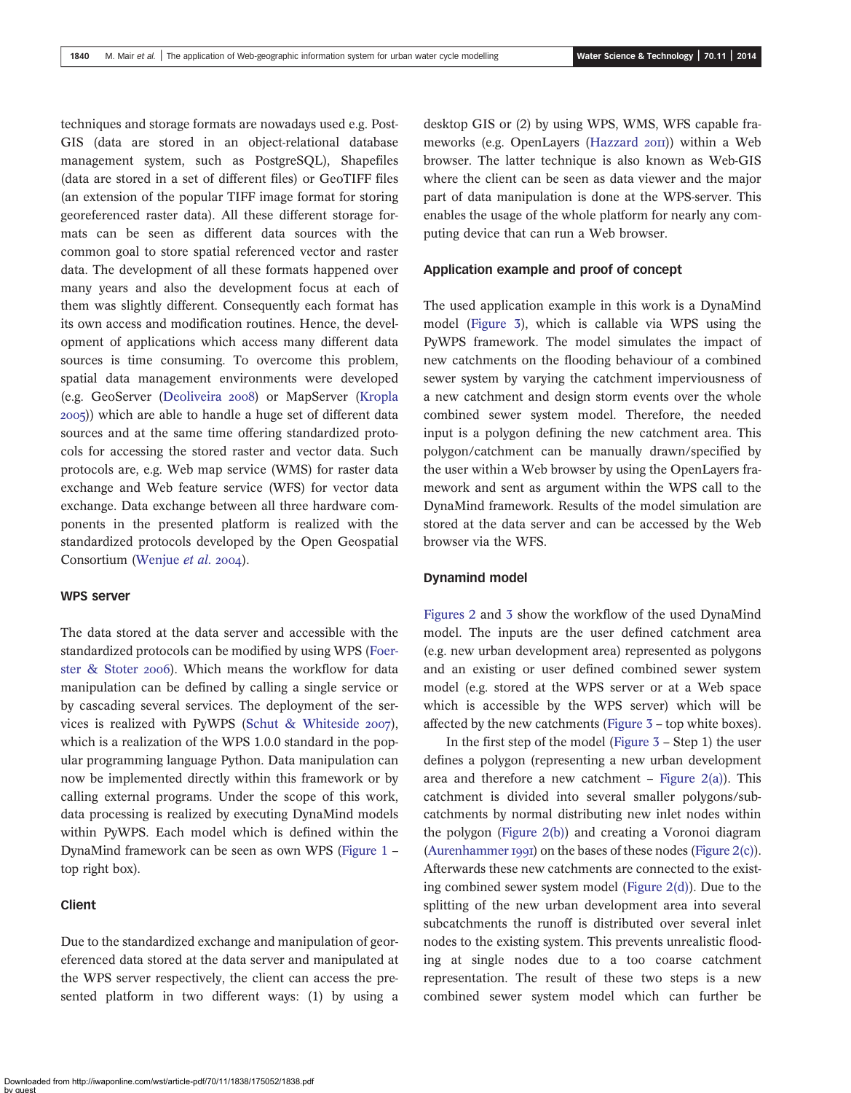techniques and storage formats are nowadays used e.g. Post-GIS (data are stored in an object-relational database management system, such as PostgreSQL), Shapefiles (data are stored in a set of different files) or GeoTIFF files (an extension of the popular TIFF image format for storing georeferenced raster data). All these different storage formats can be seen as different data sources with the common goal to store spatial referenced vector and raster data. The development of all these formats happened over many years and also the development focus at each of them was slightly different. Consequently each format has its own access and modification routines. Hence, the development of applications which access many different data sources is time consuming. To overcome this problem, spatial data management environments were developed (e.g. GeoServer ([Deoliveira](#page-7-0) 2008) or MapServer ([Kropla](#page-7-0) )) which are able to handle a huge set of different data sources and at the same time offering standardized protocols for accessing the stored raster and vector data. Such protocols are, e.g. Web map service (WMS) for raster data exchange and Web feature service (WFS) for vector data exchange. Data exchange between all three hardware components in the presented platform is realized with the standardized protocols developed by the Open Geospatial Consortium [\(Wenjue](#page-8-0) et al. 2004).

#### WPS server

The data stored at the data server and accessible with the standardized protocols can be modified by using WPS ([Foer](#page-7-0)[ster & Stoter](#page-7-0) 2006). Which means the workflow for data manipulation can be defined by calling a single service or by cascading several services. The deployment of the ser-vices is realized with PyWPS [\(Schut & Whiteside](#page-7-0)  $2007$ ), which is a realization of the WPS 1.0.0 standard in the popular programming language Python. Data manipulation can now be implemented directly within this framework or by calling external programs. Under the scope of this work, data processing is realized by executing DynaMind models within PyWPS. Each model which is defined within the DynaMind framework can be seen as own WPS ([Figure 1](#page-1-0) – top right box).

### Client

Due to the standardized exchange and manipulation of georeferenced data stored at the data server and manipulated at the WPS server respectively, the client can access the presented platform in two different ways: (1) by using a desktop GIS or (2) by using WPS, WMS, WFS capable fra-meworks (e.g. OpenLayers ([Hazzard](#page-7-0) 2011) within a Web browser. The latter technique is also known as Web-GIS where the client can be seen as data viewer and the major part of data manipulation is done at the WPS-server. This enables the usage of the whole platform for nearly any computing device that can run a Web browser.

#### Application example and proof of concept

The used application example in this work is a DynaMind model [\(Figure 3](#page-3-0)), which is callable via WPS using the PyWPS framework. The model simulates the impact of new catchments on the flooding behaviour of a combined sewer system by varying the catchment imperviousness of a new catchment and design storm events over the whole combined sewer system model. Therefore, the needed input is a polygon defining the new catchment area. This polygon/catchment can be manually drawn/specified by the user within a Web browser by using the OpenLayers framework and sent as argument within the WPS call to the DynaMind framework. Results of the model simulation are stored at the data server and can be accessed by the Web browser via the WFS.

#### Dynamind model

[Figures 2](#page-3-0) and [3](#page-3-0) show the workflow of the used DynaMind model. The inputs are the user defined catchment area (e.g. new urban development area) represented as polygons and an existing or user defined combined sewer system model (e.g. stored at the WPS server or at a Web space which is accessible by the WPS server) which will be affected by the new catchments ([Figure 3](#page-3-0) – top white boxes).

In the first step of the model ([Figure 3](#page-3-0) – Step 1) the user defines a polygon (representing a new urban development area and therefore a new catchment – Figure  $2(a)$ ). This catchment is divided into several smaller polygons/subcatchments by normal distributing new inlet nodes within the polygon [\(Figure 2\(b\)\)](#page-3-0) and creating a Voronoi diagram [\(Aurenhammer](#page-7-0) 1991) on the bases of these nodes ([Figure 2\(c\)](#page-3-0)). Afterwards these new catchments are connected to the existing combined sewer system model (Figure  $2(d)$ ). Due to the splitting of the new urban development area into several subcatchments the runoff is distributed over several inlet nodes to the existing system. This prevents unrealistic flooding at single nodes due to a too coarse catchment representation. The result of these two steps is a new combined sewer system model which can further be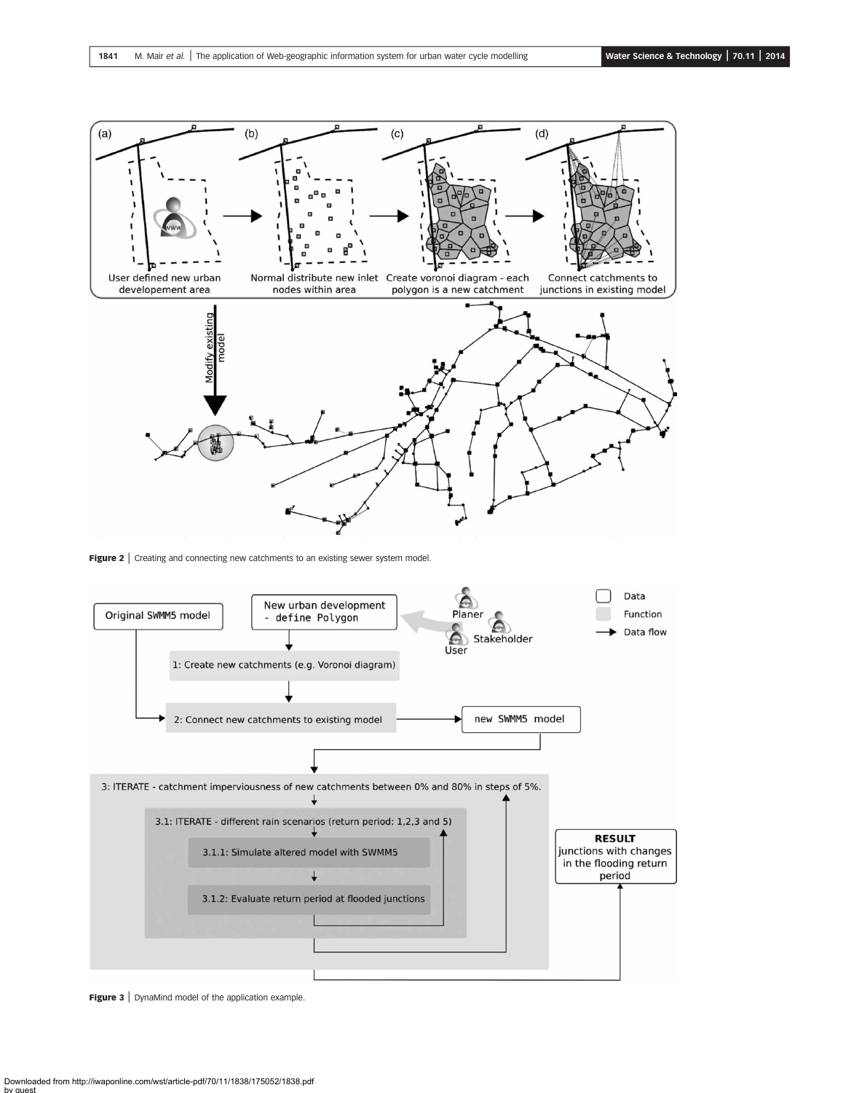<span id="page-3-0"></span>

Figure 2 | Creating and connecting new catchments to an existing sewer system model.



Figure 3 | DynaMind model of the application example.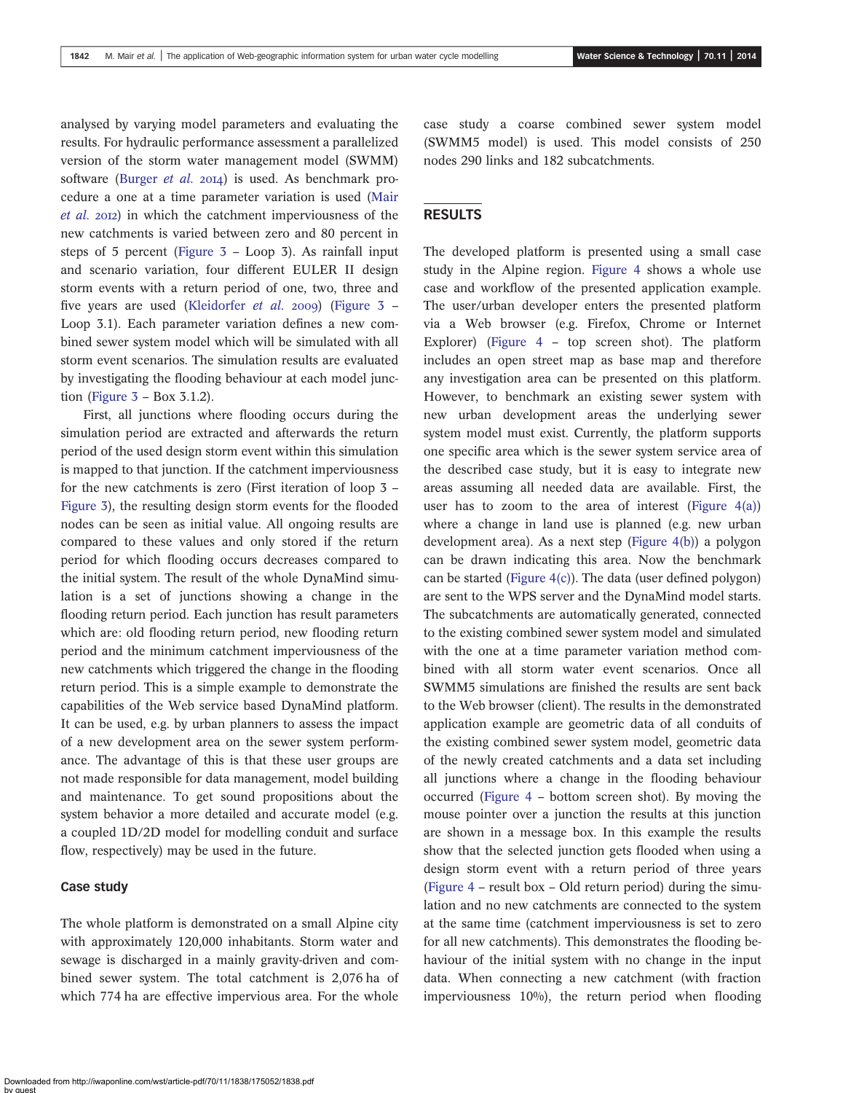analysed by varying model parameters and evaluating the results. For hydraulic performance assessment a parallelized version of the storm water management model (SWMM) software [\(Burger](#page-7-0) *et al.* 2014) is used. As benchmark procedure a one at a time parameter variation is used ([Mair](#page-7-0) [et al.](#page-7-0) 2012) in which the catchment imperviousness of the new catchments is varied between zero and 80 percent in steps of 5 percent ([Figure 3](#page-3-0) – Loop 3). As rainfall input and scenario variation, four different EULER II design storm events with a return period of one, two, three and five years are used ([Kleidorfer](#page-7-0) et al. 2009) (Figure  $3 -$ Loop 3.1). Each parameter variation defines a new combined sewer system model which will be simulated with all storm event scenarios. The simulation results are evaluated by investigating the flooding behaviour at each model junction (Figure  $3 - Box 3.1.2$ ).

First, all junctions where flooding occurs during the simulation period are extracted and afterwards the return period of the used design storm event within this simulation is mapped to that junction. If the catchment imperviousness for the new catchments is zero (First iteration of loop 3 – [Figure 3](#page-3-0)), the resulting design storm events for the flooded nodes can be seen as initial value. All ongoing results are compared to these values and only stored if the return period for which flooding occurs decreases compared to the initial system. The result of the whole DynaMind simulation is a set of junctions showing a change in the flooding return period. Each junction has result parameters which are: old flooding return period, new flooding return period and the minimum catchment imperviousness of the new catchments which triggered the change in the flooding return period. This is a simple example to demonstrate the capabilities of the Web service based DynaMind platform. It can be used, e.g. by urban planners to assess the impact of a new development area on the sewer system performance. The advantage of this is that these user groups are not made responsible for data management, model building and maintenance. To get sound propositions about the system behavior a more detailed and accurate model (e.g. a coupled 1D/2D model for modelling conduit and surface flow, respectively) may be used in the future.

#### Case study

The whole platform is demonstrated on a small Alpine city with approximately 120,000 inhabitants. Storm water and sewage is discharged in a mainly gravity-driven and combined sewer system. The total catchment is 2,076 ha of which 774 ha are effective impervious area. For the whole case study a coarse combined sewer system model (SWMM5 model) is used. This model consists of 250 nodes 290 links and 182 subcatchments.

#### RESULTS

The developed platform is presented using a small case study in the Alpine region. [Figure 4](#page-5-0) shows a whole use case and workflow of the presented application example. The user/urban developer enters the presented platform via a Web browser (e.g. Firefox, Chrome or Internet Explorer) ([Figure 4](#page-5-0) – top screen shot). The platform includes an open street map as base map and therefore any investigation area can be presented on this platform. However, to benchmark an existing sewer system with new urban development areas the underlying sewer system model must exist. Currently, the platform supports one specific area which is the sewer system service area of the described case study, but it is easy to integrate new areas assuming all needed data are available. First, the user has to zoom to the area of interest (Figure  $4(a)$ ) where a change in land use is planned (e.g. new urban development area). As a next step [\(Figure 4\(b\)\)](#page-5-0) a polygon can be drawn indicating this area. Now the benchmark can be started [\(Figure 4\(c\)](#page-5-0)). The data (user defined polygon) are sent to the WPS server and the DynaMind model starts. The subcatchments are automatically generated, connected to the existing combined sewer system model and simulated with the one at a time parameter variation method combined with all storm water event scenarios. Once all SWMM5 simulations are finished the results are sent back to the Web browser (client). The results in the demonstrated application example are geometric data of all conduits of the existing combined sewer system model, geometric data of the newly created catchments and a data set including all junctions where a change in the flooding behaviour occurred ([Figure 4](#page-5-0) – bottom screen shot). By moving the mouse pointer over a junction the results at this junction are shown in a message box. In this example the results show that the selected junction gets flooded when using a design storm event with a return period of three years ([Figure 4](#page-5-0) – result box – Old return period) during the simulation and no new catchments are connected to the system at the same time (catchment imperviousness is set to zero for all new catchments). This demonstrates the flooding behaviour of the initial system with no change in the input data. When connecting a new catchment (with fraction imperviousness 10%), the return period when flooding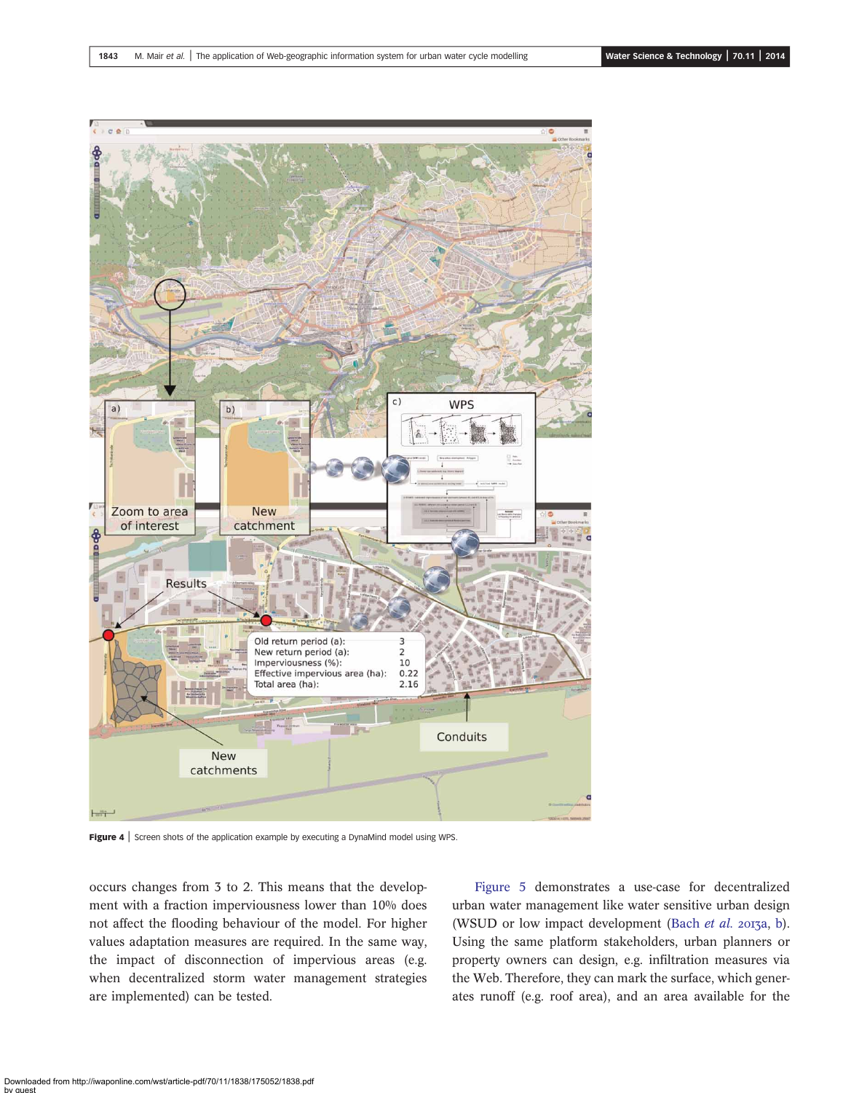<span id="page-5-0"></span>

Figure 4 | Screen shots of the application example by executing a DynaMind model using WPS.

occurs changes from 3 to 2. This means that the development with a fraction imperviousness lower than 10% does not affect the flooding behaviour of the model. For higher values adaptation measures are required. In the same way, the impact of disconnection of impervious areas (e.g. when decentralized storm water management strategies are implemented) can be tested.

[Figure 5](#page-6-0) demonstrates a use-case for decentralized urban water management like water sensitive urban design (WSUD or low impact development ([Bach](#page-7-0) et al. 2013a, [b\)](#page-7-0). Using the same platform stakeholders, urban planners or property owners can design, e.g. infiltration measures via the Web. Therefore, they can mark the surface, which generates runoff (e.g. roof area), and an area available for the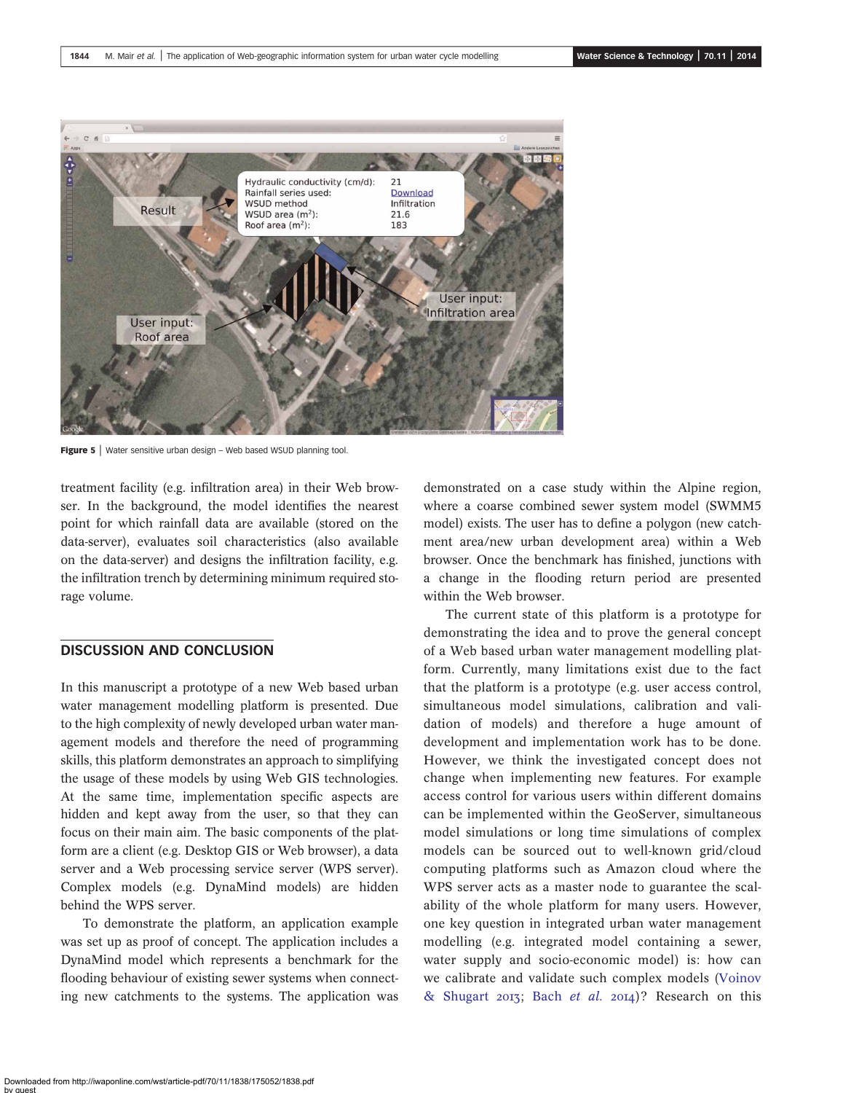<span id="page-6-0"></span>

Figure 5 | Water sensitive urban design - Web based WSUD planning tool.

treatment facility (e.g. infiltration area) in their Web browser. In the background, the model identifies the nearest point for which rainfall data are available (stored on the data-server), evaluates soil characteristics (also available on the data-server) and designs the infiltration facility, e.g. the infiltration trench by determining minimum required storage volume.

#### DISCUSSION AND CONCLUSION

In this manuscript a prototype of a new Web based urban water management modelling platform is presented. Due to the high complexity of newly developed urban water management models and therefore the need of programming skills, this platform demonstrates an approach to simplifying the usage of these models by using Web GIS technologies. At the same time, implementation specific aspects are hidden and kept away from the user, so that they can focus on their main aim. The basic components of the platform are a client (e.g. Desktop GIS or Web browser), a data server and a Web processing service server (WPS server). Complex models (e.g. DynaMind models) are hidden behind the WPS server.

To demonstrate the platform, an application example was set up as proof of concept. The application includes a DynaMind model which represents a benchmark for the flooding behaviour of existing sewer systems when connecting new catchments to the systems. The application was demonstrated on a case study within the Alpine region, where a coarse combined sewer system model (SWMM5 model) exists. The user has to define a polygon (new catchment area/new urban development area) within a Web browser. Once the benchmark has finished, junctions with a change in the flooding return period are presented within the Web browser.

The current state of this platform is a prototype for demonstrating the idea and to prove the general concept of a Web based urban water management modelling platform. Currently, many limitations exist due to the fact that the platform is a prototype (e.g. user access control, simultaneous model simulations, calibration and validation of models) and therefore a huge amount of development and implementation work has to be done. However, we think the investigated concept does not change when implementing new features. For example access control for various users within different domains can be implemented within the GeoServer, simultaneous model simulations or long time simulations of complex models can be sourced out to well-known grid/cloud computing platforms such as Amazon cloud where the WPS server acts as a master node to guarantee the scalability of the whole platform for many users. However, one key question in integrated urban water management modelling (e.g. integrated model containing a sewer, water supply and socio-economic model) is: how can we calibrate and validate such complex models ([Voinov](#page-8-0) [& Shugart](#page-8-0) 2013; Bach [et al.](#page-7-0) 2014)? Research on this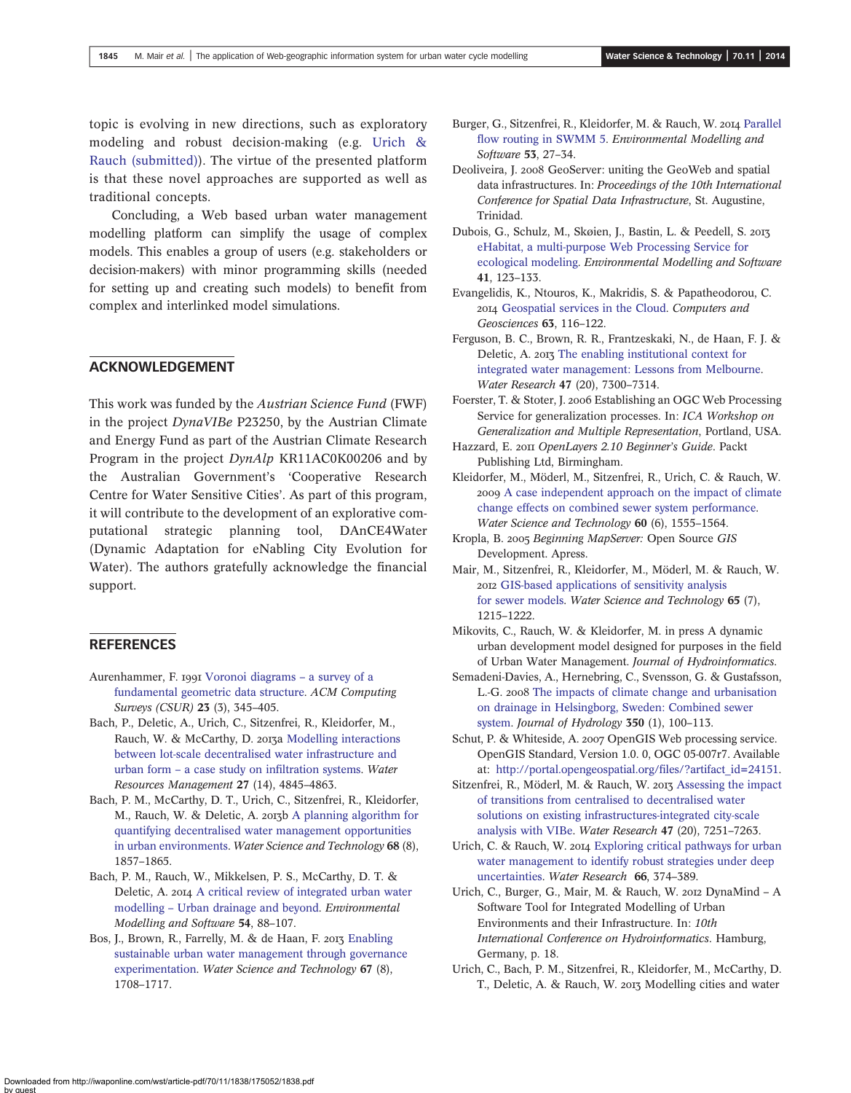<span id="page-7-0"></span>topic is evolving in new directions, such as exploratory modeling and robust decision-making (e.g. Urich & Rauch (submitted)). The virtue of the presented platform is that these novel approaches are supported as well as traditional concepts.

Concluding, a Web based urban water management modelling platform can simplify the usage of complex models. This enables a group of users (e.g. stakeholders or decision-makers) with minor programming skills (needed for setting up and creating such models) to benefit from complex and interlinked model simulations.

### ACKNOWLEDGEMENT

This work was funded by the Austrian Science Fund (FWF) in the project DynaVIBe P23250, by the Austrian Climate and Energy Fund as part of the Austrian Climate Research Program in the project DynAlp KR11AC0K00206 and by the Australian Government's 'Cooperative Research Centre for Water Sensitive Cities'. As part of this program, it will contribute to the development of an explorative computational strategic planning tool, DAnCE4Water (Dynamic Adaptation for eNabling City Evolution for Water). The authors gratefully acknowledge the financial support.

#### **REFERENCES**

- Aurenhammer, F. 1991 [Voronoi diagrams](http://dx.doi.org/10.1145/116873.116880) a survey of a [fundamental geometric data structure.](http://dx.doi.org/10.1145/116873.116880) ACM Computing Surveys (CSUR) 23 (3), 345–405.
- Bach, P., Deletic, A., Urich, C., Sitzenfrei, R., Kleidorfer, M., Rauch, W. & McCarthy, D. 2013a [Modelling interactions](http://dx.doi.org/10.1007/s11269-013-0442-9) [between lot-scale decentralised water infrastructure and](http://dx.doi.org/10.1007/s11269-013-0442-9) urban form – [a case study on in](http://dx.doi.org/10.1007/s11269-013-0442-9)filtration systems. Water Resources Management 27 (14), 4845–4863.
- Bach, P. M., McCarthy, D. T., Urich, C., Sitzenfrei, R., Kleidorfer, M., Rauch, W. & Deletic, A. 2013b [A planning algorithm for](http://dx.doi.org/10.2166/wst.2013.437) [quantifying decentralised water management opportunities](http://dx.doi.org/10.2166/wst.2013.437) [in urban environments](http://dx.doi.org/10.2166/wst.2013.437). Water Science and Technology 68 (8), 1857–1865.
- Bach, P. M., Rauch, W., Mikkelsen, P. S., McCarthy, D. T. & Deletic, A. 2014 [A critical review of integrated urban water](http://dx.doi.org/10.1016/j.envsoft.2013.12.018) modelling – [Urban drainage and beyond](http://dx.doi.org/10.1016/j.envsoft.2013.12.018). Environmental Modelling and Software 54, 88–107.
- Bos, J., Brown, R., Farrelly, M. & de Haan, F. 2013 [Enabling](http://dx.doi.org/10.2166/wst.2013.031) [sustainable urban water management through governance](http://dx.doi.org/10.2166/wst.2013.031) [experimentation.](http://dx.doi.org/10.2166/wst.2013.031) Water Science and Technology 67 (8), 1708–1717.
- Burger, G., Sitzenfrei, R., Kleidorfer, M. & Rauch, W. 2014 [Parallel](http://dx.doi.org/10.1016/j.envsoft.2013.11.002) fl[ow routing in SWMM 5.](http://dx.doi.org/10.1016/j.envsoft.2013.11.002) Environmental Modelling and Software 53, 27–34.
- Deoliveira, J. 2008 GeoServer: uniting the GeoWeb and spatial data infrastructures. In: Proceedings of the 10th International Conference for Spatial Data Infrastructure, St. Augustine, Trinidad.
- Dubois, G., Schulz, M., Skøien, J., Bastin, L. & Peedell, S. [eHabitat, a multi-purpose Web Processing Service for](http://dx.doi.org/10.1016/j.envsoft.2012.11.005) [ecological modeling](http://dx.doi.org/10.1016/j.envsoft.2012.11.005). Environmental Modelling and Software 41, 123–133.
- Evangelidis, K., Ntouros, K., Makridis, S. & Papatheodorou, C. [Geospatial services in the Cloud](http://dx.doi.org/10.1016/j.cageo.2013.10.007). Computers and Geosciences 63, 116–122.
- Ferguson, B. C., Brown, R. R., Frantzeskaki, N., de Haan, F. J. & Deletic, A. 2013 [The enabling institutional context for](http://dx.doi.org/10.1016/j.watres.2013.09.045) [integrated water management: Lessons from Melbourne.](http://dx.doi.org/10.1016/j.watres.2013.09.045) Water Research 47 (20), 7300–7314.
- Foerster, T. & Stoter, J. 2006 Establishing an OGC Web Processing Service for generalization processes. In: ICA Workshop on Generalization and Multiple Representation, Portland, USA.
- Hazzard, E. 2011 OpenLayers 2.10 Beginner's Guide. Packt Publishing Ltd, Birmingham.
- Kleidorfer, M., Möderl, M., Sitzenfrei, R., Urich, C. & Rauch, W. [A case independent approach on the impact of climate](http://dx.doi.org/10.2166/wst.2009.520) [change effects on combined sewer system performance.](http://dx.doi.org/10.2166/wst.2009.520) Water Science and Technology 60 (6), 1555–1564.
- Kropla, B. 2005 Beginning MapServer: Open Source GIS Development. Apress.
- Mair, M., Sitzenfrei, R., Kleidorfer, M., Möderl, M. & Rauch, W. [GIS-based applications of sensitivity analysis](http://dx.doi.org/10.2166/wst.2012.954) [for sewer models.](http://dx.doi.org/10.2166/wst.2012.954) Water Science and Technology 65 (7), 1215–1222.
- Mikovits, C., Rauch, W. & Kleidorfer, M. in press A dynamic urban development model designed for purposes in the field of Urban Water Management. Journal of Hydroinformatics.
- Semadeni-Davies, A., Hernebring, C., Svensson, G. & Gustafsson, L.-G. 2008 [The impacts of climate change and urbanisation](http://dx.doi.org/10.1016/j.jhydrol.2007.05.028) [on drainage in Helsingborg, Sweden: Combined sewer](http://dx.doi.org/10.1016/j.jhydrol.2007.05.028) [system.](http://dx.doi.org/10.1016/j.jhydrol.2007.05.028) Journal of Hydrology 350 (1), 100–113.
- Schut, P. & Whiteside, A. 2007 OpenGIS Web processing service. OpenGIS Standard, Version 1.0. 0, OGC 05-007r7. Available at: [http://portal.opengeospatial.org/](http://portal.opengeospatial.org/files/?artifact_id=24151)files/?artifact\_id=24151.
- Sitzenfrei, R., Möderl, M. & Rauch, W. 2013 [Assessing the impact](http://dx.doi.org/10.1016/j.watres.2013.10.038) [of transitions from centralised to decentralised water](http://dx.doi.org/10.1016/j.watres.2013.10.038) [solutions on existing infrastructures-integrated city-scale](http://dx.doi.org/10.1016/j.watres.2013.10.038) [analysis with VIBe](http://dx.doi.org/10.1016/j.watres.2013.10.038). Water Research 47 (20), 7251–7263.
- Urich, C. & Rauch, W. 2014 [Exploring critical pathways for urban](http://dx.doi.org/10.1016/j.watres.2014.08.020) [water management to identify robust strategies under deep](http://dx.doi.org/10.1016/j.watres.2014.08.020) [uncertainties](http://dx.doi.org/10.1016/j.watres.2014.08.020). Water Research 66, 374–389.
- Urich, C., Burger, G., Mair, M. & Rauch, W. 2012 DynaMind A Software Tool for Integrated Modelling of Urban Environments and their Infrastructure. In: 10th International Conference on Hydroinformatics. Hamburg, Germany, p. 18.
- Urich, C., Bach, P. M., Sitzenfrei, R., Kleidorfer, M., McCarthy, D. T., Deletic, A. & Rauch, W. 2013 Modelling cities and water

Downloaded from http://iwaponline.com/wst/article-pdf/70/11/1838/175052/1838.pdf by guest